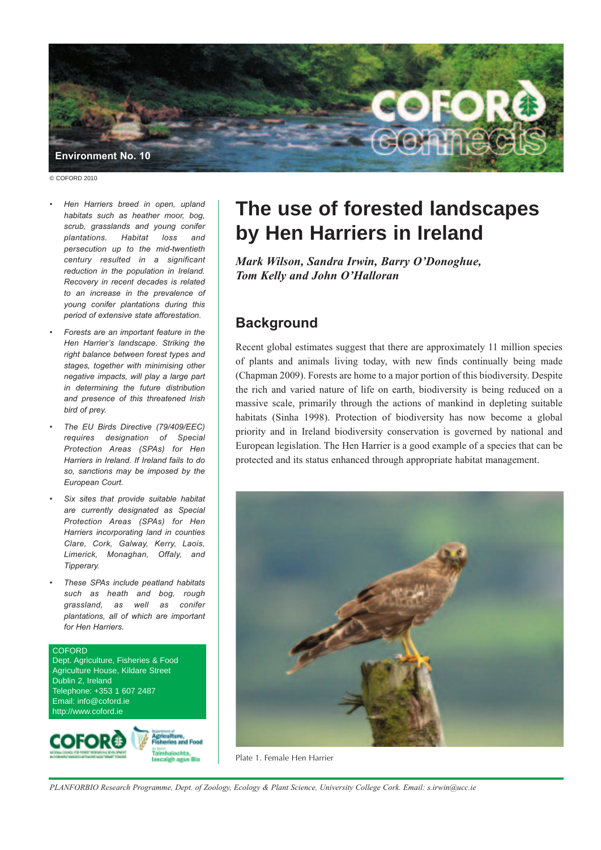

© COFORD 2010

- *• Hen Harriers breed in open, upland habitats such as heather moor, bog, scrub, grasslands and young conifer plantations. Habitat loss and persecution up to the mid-twentieth century resulted in a significant reduction in the population in Ireland. Recovery in recent decades is related to an increase in the prevalence of young conifer plantations during this period of extensive state afforestation.*
- *• Forests are an important feature in the Hen Harrier's landscape. Striking the right balance between forest types and stages, together with minimising other negative impacts, will play a large part in determining the future distribution and presence of this threatened Irish bird of prey.*
- *• The EU Birds Directive (79/409/EEC) requires designation of Special Protection Areas (SPAs) for Hen Harriers in Ireland. If Ireland fails to do so, sanctions may be imposed by the European Court.*
- *• Six sites that provide suitable habitat are currently designated as Special Protection Areas (SPAs) for Hen Harriers incorporating land in counties Clare, Cork, Galway, Kerry, Laois, Limerick, Monaghan, Offaly, and Tipperary.*
- *• These SPAs include peatland habitats such as heath and bog, rough grassland, as well as conifer plantations, all of which are important for Hen Harriers.*

#### COFORD Dept. Agriculture, Fisheries & Food Agriculture House, Kildare Street Dublin 2, Ireland Telephone: +353 1 607 2487 Email: info@coford.ie http://www.coford.ie



# **The use of forested landscapes by Hen Harriers in Ireland**

*Mark Wilson, Sandra Irwin, Barry O'Donoghue, Tom Kelly and John O'Halloran*

## **Background**

Recent global estimates suggest that there are approximately 11 million species of plants and animals living today, with new finds continually being made (Chapman 2009). Forests are home to a major portion of this biodiversity. Despite the rich and varied nature of life on earth, biodiversity is being reduced on a massive scale, primarily through the actions of mankind in depleting suitable habitats (Sinha 1998). Protection of biodiversity has now become a global priority and in Ireland biodiversity conservation is governed by national and European legislation. The Hen Harrier is a good example of a species that can be protected and its status enhanced through appropriate habitat management.



Plate 1. Female Hen Harrier

PLANFORBIO Research Programme, Dept. of Zoology, Ecology & Plant Science, University College Cork. Email: s.irwin@ucc.ie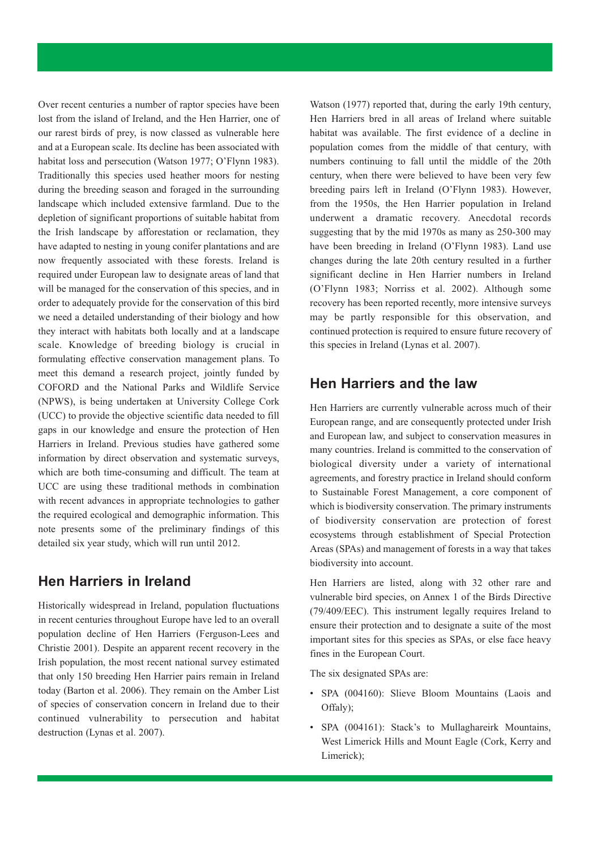Over recent centuries a number of raptor species have been lost from the island of Ireland, and the Hen Harrier, one of our rarest birds of prey, is now classed as vulnerable here and at a European scale. Its decline has been associated with habitat loss and persecution (Watson 1977; O'Flynn 1983). Traditionally this species used heather moors for nesting during the breeding season and foraged in the surrounding landscape which included extensive farmland. Due to the depletion of significant proportions of suitable habitat from the Irish landscape by afforestation or reclamation, they have adapted to nesting in young conifer plantations and are now frequently associated with these forests. Ireland is required under European law to designate areas of land that will be managed for the conservation of this species, and in order to adequately provide for the conservation of this bird we need a detailed understanding of their biology and how they interact with habitats both locally and at a landscape scale. Knowledge of breeding biology is crucial in formulating effective conservation management plans. To meet this demand a research project, jointly funded by COFORD and the National Parks and Wildlife Service (NPWS), is being undertaken at University College Cork (UCC) to provide the objective scientific data needed to fill gaps in our knowledge and ensure the protection of Hen Harriers in Ireland. Previous studies have gathered some information by direct observation and systematic surveys, which are both time-consuming and difficult. The team at UCC are using these traditional methods in combination with recent advances in appropriate technologies to gather the required ecological and demographic information. This note presents some of the preliminary findings of this detailed six year study, which will run until 2012.

#### **Hen Harriers in Ireland**

Historically widespread in Ireland, population fluctuations in recent centuries throughout Europe have led to an overall population decline of Hen Harriers (Ferguson-Lees and Christie 2001). Despite an apparent recent recovery in the Irish population, the most recent national survey estimated that only 150 breeding Hen Harrier pairs remain in Ireland today (Barton et al. 2006). They remain on the Amber List of species of conservation concern in Ireland due to their continued vulnerability to persecution and habitat destruction (Lynas et al. 2007).

Watson (1977) reported that, during the early 19th century, Hen Harriers bred in all areas of Ireland where suitable habitat was available. The first evidence of a decline in population comes from the middle of that century, with numbers continuing to fall until the middle of the 20th century, when there were believed to have been very few breeding pairs left in Ireland (O'Flynn 1983). However, from the 1950s, the Hen Harrier population in Ireland underwent a dramatic recovery. Anecdotal records suggesting that by the mid 1970s as many as 250-300 may have been breeding in Ireland (O'Flynn 1983). Land use changes during the late 20th century resulted in a further significant decline in Hen Harrier numbers in Ireland (O'Flynn 1983; Norriss et al. 2002). Although some recovery has been reported recently, more intensive surveys may be partly responsible for this observation, and continued protection is required to ensure future recovery of this species in Ireland (Lynas et al. 2007).

### **Hen Harriers and the law**

Hen Harriers are currently vulnerable across much of their European range, and are consequently protected under Irish and European law, and subject to conservation measures in many countries. Ireland is committed to the conservation of biological diversity under a variety of international agreements, and forestry practice in Ireland should conform to Sustainable Forest Management, a core component of which is biodiversity conservation. The primary instruments of biodiversity conservation are protection of forest ecosystems through establishment of Special Protection Areas (SPAs) and management of forests in a way that takes biodiversity into account.

Hen Harriers are listed, along with 32 other rare and vulnerable bird species, on Annex 1 of the Birds Directive (79/409/EEC). This instrument legally requires Ireland to ensure their protection and to designate a suite of the most important sites for this species as SPAs, or else face heavy fines in the European Court.

The six designated SPAs are:

- SPA (004160): Slieve Bloom Mountains (Laois and Offaly);
- SPA (004161): Stack's to Mullaghareirk Mountains, West Limerick Hills and Mount Eagle (Cork, Kerry and Limerick);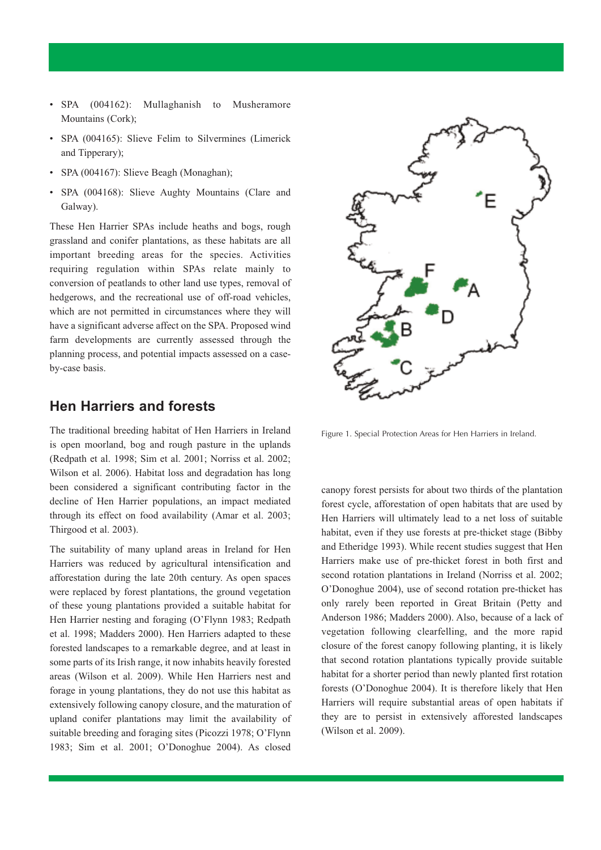- SPA (004162): Mullaghanish to Musheramore Mountains (Cork);
- SPA (004165): Slieve Felim to Silvermines (Limerick and Tipperary);
- SPA (004167): Slieve Beagh (Monaghan);
- SPA (004168): Slieve Aughty Mountains (Clare and Galway).

These Hen Harrier SPAs include heaths and bogs, rough grassland and conifer plantations, as these habitats are all important breeding areas for the species. Activities requiring regulation within SPAs relate mainly to conversion of peatlands to other land use types, removal of hedgerows, and the recreational use of off-road vehicles, which are not permitted in circumstances where they will have a significant adverse affect on the SPA. Proposed wind farm developments are currently assessed through the planning process, and potential impacts assessed on a caseby-case basis.

#### **Hen Harriers and forests**

The traditional breeding habitat of Hen Harriers in Ireland is open moorland, bog and rough pasture in the uplands (Redpath et al. 1998; Sim et al. 2001; Norriss et al. 2002; Wilson et al. 2006). Habitat loss and degradation has long been considered a significant contributing factor in the decline of Hen Harrier populations, an impact mediated through its effect on food availability (Amar et al. 2003; Thirgood et al. 2003).

The suitability of many upland areas in Ireland for Hen Harriers was reduced by agricultural intensification and afforestation during the late 20th century. As open spaces were replaced by forest plantations, the ground vegetation of these young plantations provided a suitable habitat for Hen Harrier nesting and foraging (O'Flynn 1983; Redpath et al. 1998; Madders 2000). Hen Harriers adapted to these forested landscapes to a remarkable degree, and at least in some parts of its Irish range, it now inhabits heavily forested areas (Wilson et al. 2009). While Hen Harriers nest and forage in young plantations, they do not use this habitat as extensively following canopy closure, and the maturation of upland conifer plantations may limit the availability of suitable breeding and foraging sites (Picozzi 1978; O'Flynn 1983; Sim et al. 2001; O'Donoghue 2004). As closed



Figure 1. Special Protection Areas for Hen Harriers in Ireland.

canopy forest persists for about two thirds of the plantation forest cycle, afforestation of open habitats that are used by Hen Harriers will ultimately lead to a net loss of suitable habitat, even if they use forests at pre-thicket stage (Bibby and Etheridge 1993). While recent studies suggest that Hen Harriers make use of pre-thicket forest in both first and second rotation plantations in Ireland (Norriss et al. 2002; O'Donoghue 2004), use of second rotation pre-thicket has only rarely been reported in Great Britain (Petty and Anderson 1986; Madders 2000). Also, because of a lack of vegetation following clearfelling, and the more rapid closure of the forest canopy following planting, it is likely that second rotation plantations typically provide suitable habitat for a shorter period than newly planted first rotation forests (O'Donoghue 2004). It is therefore likely that Hen Harriers will require substantial areas of open habitats if they are to persist in extensively afforested landscapes (Wilson et al. 2009).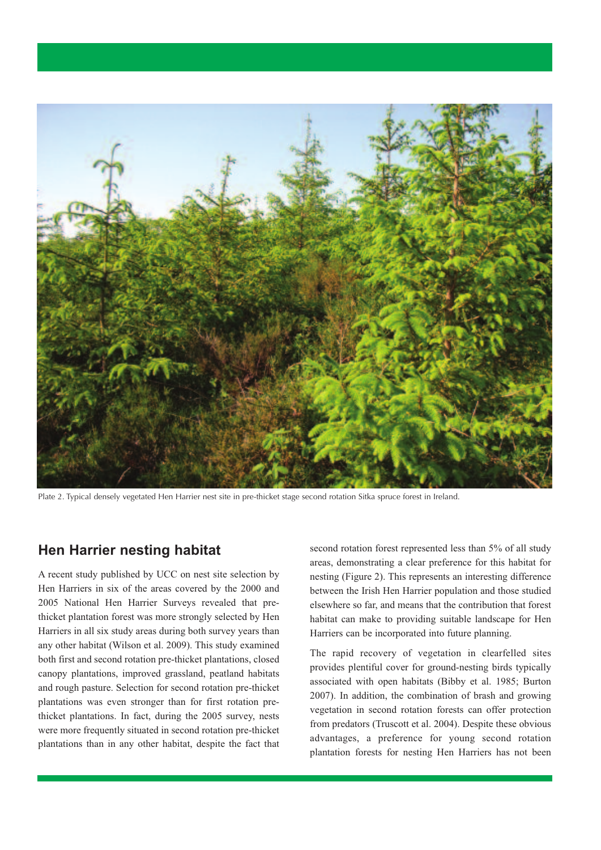

Plate 2. Typical densely vegetated Hen Harrier nest site in pre-thicket stage second rotation Sitka spruce forest in Ireland.

#### **Hen Harrier nesting habitat**

A recent study published by UCC on nest site selection by Hen Harriers in six of the areas covered by the 2000 and 2005 National Hen Harrier Surveys revealed that prethicket plantation forest was more strongly selected by Hen Harriers in all six study areas during both survey years than any other habitat (Wilson et al. 2009). This study examined both first and second rotation pre-thicket plantations, closed canopy plantations, improved grassland, peatland habitats and rough pasture. Selection for second rotation pre-thicket plantations was even stronger than for first rotation prethicket plantations. In fact, during the 2005 survey, nests were more frequently situated in second rotation pre-thicket plantations than in any other habitat, despite the fact that second rotation forest represented less than 5% of all study areas, demonstrating a clear preference for this habitat for nesting (Figure 2). This represents an interesting difference between the Irish Hen Harrier population and those studied elsewhere so far, and means that the contribution that forest habitat can make to providing suitable landscape for Hen Harriers can be incorporated into future planning.

The rapid recovery of vegetation in clearfelled sites provides plentiful cover for ground-nesting birds typically associated with open habitats (Bibby et al. 1985; Burton 2007). In addition, the combination of brash and growing vegetation in second rotation forests can offer protection from predators (Truscott et al. 2004). Despite these obvious advantages, a preference for young second rotation plantation forests for nesting Hen Harriers has not been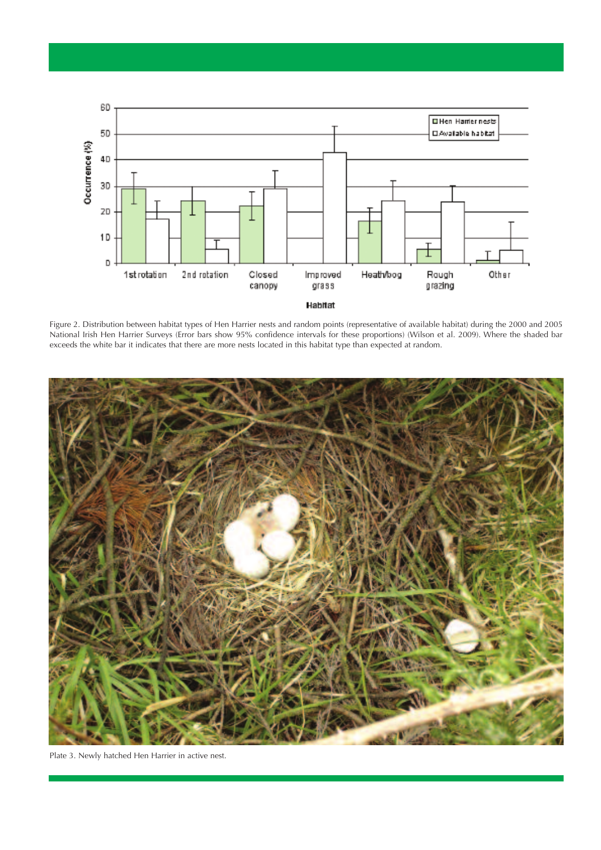

Figure 2. Distribution between habitat types of Hen Harrier nests and random points (representative of available habitat) during the 2000 and 2005 National Irish Hen Harrier Surveys (Error bars show 95% confidence intervals for these proportions) (Wilson et al. 2009). Where the shaded bar exceeds the white bar it indicates that there are more nests located in this habitat type than expected at random.



Plate 3. Newly hatched Hen Harrier in active nest.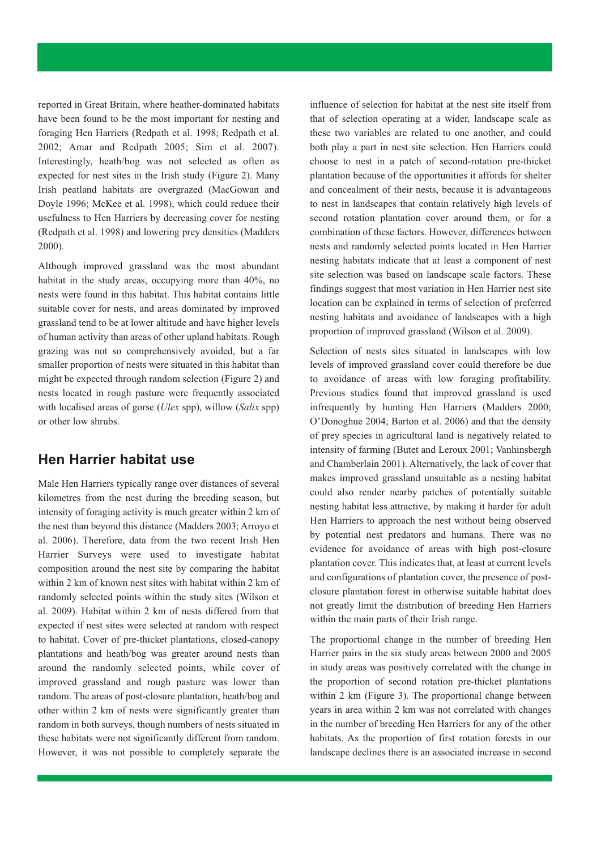reported in Great Britain, where heather-dominated habitats have been found to be the most important for nesting and foraging Hen Harriers (Redpath et al. 1998; Redpath et al. 2002; Amar and Redpath 2005; Sim et al. 2007). Interestingly, heath/bog was not selected as often as expected for nest sites in the Irish study (Figure 2). Many Irish peatland habitats are overgrazed (MacGowan and Doyle 1996; McKee et al. 1998), which could reduce their usefulness to Hen Harriers by decreasing cover for nesting (Redpath et al. 1998) and lowering prey densities (Madders 2000).

Although improved grassland was the most abundant habitat in the study areas, occupying more than 40%, no nests were found in this habitat. This habitat contains little suitable cover for nests, and areas dominated by improved grassland tend to be at lower altitude and have higher levels of human activity than areas of other upland habitats. Rough grazing was not so comprehensively avoided, but a far smaller proportion of nests were situated in this habitat than might be expected through random selection (Figure 2) and nests located in rough pasture were frequently associated with localised areas of gorse (*Ulex* spp), willow (*Salix* spp) or other low shrubs.

#### **Hen Harrier habitat use**

Male Hen Harriers typically range over distances of several kilometres from the nest during the breeding season, but intensity of foraging activity is much greater within 2 km of the nest than beyond this distance (Madders 2003; Arroyo et al. 2006). Therefore, data from the two recent Irish Hen Harrier Surveys were used to investigate habitat composition around the nest site by comparing the habitat within 2 km of known nest sites with habitat within 2 km of randomly selected points within the study sites (Wilson et al. 2009). Habitat within 2 km of nests differed from that expected if nest sites were selected at random with respect to habitat. Cover of pre-thicket plantations, closed-canopy plantations and heath/bog was greater around nests than around the randomly selected points, while cover of improved grassland and rough pasture was lower than random. The areas of post-closure plantation, heath/bog and other within 2 km of nests were significantly greater than random in both surveys, though numbers of nests situated in these habitats were not significantly different from random. However, it was not possible to completely separate the

influence of selection for habitat at the nest site itself from that of selection operating at a wider, landscape scale as these two variables are related to one another, and could both play a part in nest site selection. Hen Harriers could choose to nest in a patch of second-rotation pre-thicket plantation because of the opportunities it affords for shelter and concealment of their nests, because it is advantageous to nest in landscapes that contain relatively high levels of second rotation plantation cover around them, or for a combination of these factors. However, differences between nests and randomly selected points located in Hen Harrier nesting habitats indicate that at least a component of nest site selection was based on landscape scale factors. These findings suggest that most variation in Hen Harrier nest site location can be explained in terms of selection of preferred nesting habitats and avoidance of landscapes with a high proportion of improved grassland (Wilson et al. 2009).

Selection of nests sites situated in landscapes with low levels of improved grassland cover could therefore be due to avoidance of areas with low foraging profitability. Previous studies found that improved grassland is used infrequently by hunting Hen Harriers (Madders 2000; O'Donoghue 2004; Barton et al. 2006) and that the density of prey species in agricultural land is negatively related to intensity of farming (Butet and Leroux 2001; Vanhinsbergh and Chamberlain 2001). Alternatively, the lack of cover that makes improved grassland unsuitable as a nesting habitat could also render nearby patches of potentially suitable nesting habitat less attractive, by making it harder for adult Hen Harriers to approach the nest without being observed by potential nest predators and humans. There was no evidence for avoidance of areas with high post-closure plantation cover. This indicates that, at least at current levels and configurations of plantation cover, the presence of postclosure plantation forest in otherwise suitable habitat does not greatly limit the distribution of breeding Hen Harriers within the main parts of their Irish range.

The proportional change in the number of breeding Hen Harrier pairs in the six study areas between 2000 and 2005 in study areas was positively correlated with the change in the proportion of second rotation pre-thicket plantations within 2 km (Figure 3). The proportional change between years in area within 2 km was not correlated with changes in the number of breeding Hen Harriers for any of the other habitats. As the proportion of first rotation forests in our landscape declines there is an associated increase in second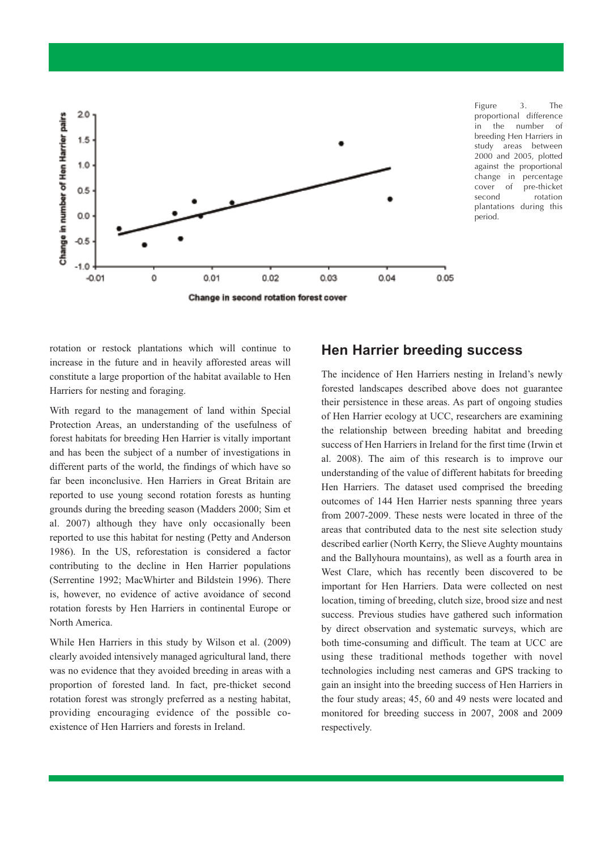

Figure 3. The proportional difference in the number of breeding Hen Harriers in study areas between 2000 and 2005, plotted against the proportional change in percentage cover of pre-thicket second rotation plantations during this period.

rotation or restock plantations which will continue to increase in the future and in heavily afforested areas will constitute a large proportion of the habitat available to Hen Harriers for nesting and foraging.

With regard to the management of land within Special Protection Areas, an understanding of the usefulness of forest habitats for breeding Hen Harrier is vitally important and has been the subject of a number of investigations in different parts of the world, the findings of which have so far been inconclusive. Hen Harriers in Great Britain are reported to use young second rotation forests as hunting grounds during the breeding season (Madders 2000; Sim et al. 2007) although they have only occasionally been reported to use this habitat for nesting (Petty and Anderson 1986). In the US, reforestation is considered a factor contributing to the decline in Hen Harrier populations (Serrentine 1992; MacWhirter and Bildstein 1996). There is, however, no evidence of active avoidance of second rotation forests by Hen Harriers in continental Europe or North America.

While Hen Harriers in this study by Wilson et al. (2009) clearly avoided intensively managed agricultural land, there was no evidence that they avoided breeding in areas with a proportion of forested land. In fact, pre-thicket second rotation forest was strongly preferred as a nesting habitat, providing encouraging evidence of the possible coexistence of Hen Harriers and forests in Ireland.

#### **Hen Harrier breeding success**

The incidence of Hen Harriers nesting in Ireland's newly forested landscapes described above does not guarantee their persistence in these areas. As part of ongoing studies of Hen Harrier ecology at UCC, researchers are examining the relationship between breeding habitat and breeding success of Hen Harriers in Ireland for the first time (Irwin et al. 2008). The aim of this research is to improve our understanding of the value of different habitats for breeding Hen Harriers. The dataset used comprised the breeding outcomes of 144 Hen Harrier nests spanning three years from 2007-2009. These nests were located in three of the areas that contributed data to the nest site selection study described earlier (North Kerry, the Slieve Aughty mountains and the Ballyhoura mountains), as well as a fourth area in West Clare, which has recently been discovered to be important for Hen Harriers. Data were collected on nest location, timing of breeding, clutch size, brood size and nest success. Previous studies have gathered such information by direct observation and systematic surveys, which are both time-consuming and difficult. The team at UCC are using these traditional methods together with novel technologies including nest cameras and GPS tracking to gain an insight into the breeding success of Hen Harriers in the four study areas; 45, 60 and 49 nests were located and monitored for breeding success in 2007, 2008 and 2009 respectively.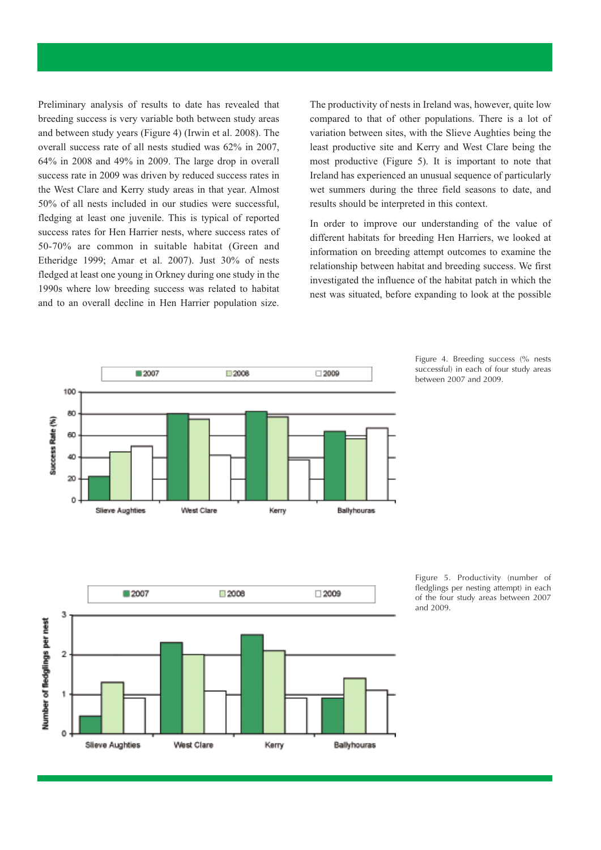Preliminary analysis of results to date has revealed that breeding success is very variable both between study areas and between study years (Figure 4) (Irwin et al. 2008). The overall success rate of all nests studied was 62% in 2007, 64% in 2008 and 49% in 2009. The large drop in overall success rate in 2009 was driven by reduced success rates in the West Clare and Kerry study areas in that year. Almost 50% of all nests included in our studies were successful, fledging at least one juvenile. This is typical of reported success rates for Hen Harrier nests, where success rates of 50-70% are common in suitable habitat (Green and Etheridge 1999; Amar et al. 2007). Just 30% of nests fledged at least one young in Orkney during one study in the 1990s where low breeding success was related to habitat and to an overall decline in Hen Harrier population size.

The productivity of nests in Ireland was, however, quite low compared to that of other populations. There is a lot of variation between sites, with the Slieve Aughties being the least productive site and Kerry and West Clare being the most productive (Figure 5). It is important to note that Ireland has experienced an unusual sequence of particularly wet summers during the three field seasons to date, and results should be interpreted in this context.

In order to improve our understanding of the value of different habitats for breeding Hen Harriers, we looked at information on breeding attempt outcomes to examine the relationship between habitat and breeding success. We first investigated the influence of the habitat patch in which the nest was situated, before expanding to look at the possible







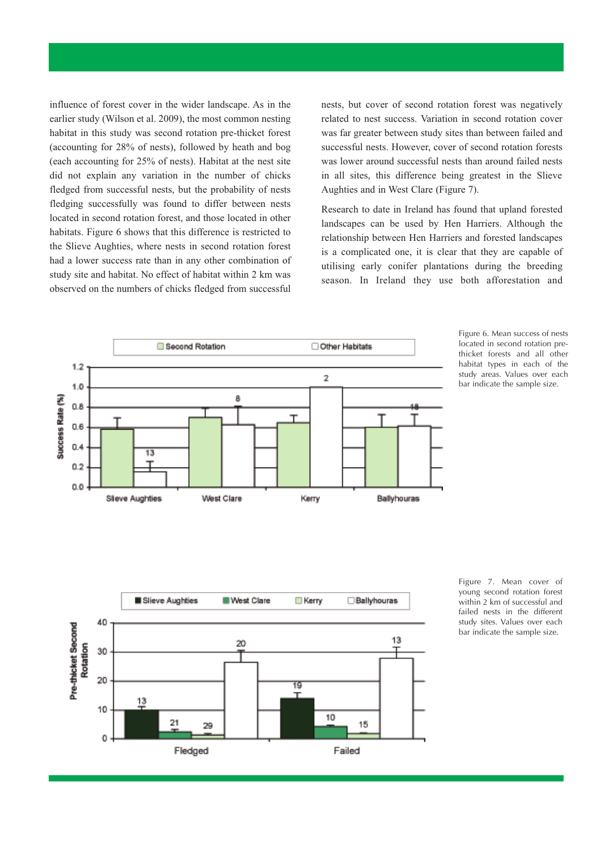influence of forest cover in the wider landscape. As in the earlier study (Wilson et al. 2009), the most common nesting habitat in this study was second rotation pre-thicket forest (accounting for 28% of nests), followed by heath and bog (each accounting for 25% of nests). Habitat at the nest site did not explain any variation in the number of chicks fledged from successful nests, but the probability of nests fledging successfully was found to differ between nests located in second rotation forest, and those located in other habitats. Figure 6 shows that this difference is restricted to the Slieve Aughties, where nests in second rotation forest had a lower success rate than in any other combination of study site and habitat. No effect of habitat within 2 km was observed on the numbers of chicks fledged from successful

nests, but cover of second rotation forest was negatively related to nest success. Variation in second rotation cover was far greater between study sites than between failed and successful nests. However, cover of second rotation forests was lower around successful nests than around failed nests in all sites, this difference being greatest in the Slieve Aughties and in West Clare (Figure 7).

Research to date in Ireland has found that upland forested landscapes can be used by Hen Harriers. Although the relationship between Hen Harriers and forested landscapes is a complicated one, it is clear that they are capable of utilising early conifer plantations during the breeding season. In Ireland they use both afforestation and



Figure 6. Mean success of nests located in second rotation prethicket forests and all other habitat types in each of the study areas. Values over each bar indicate the sample size.



Figure 7. Mean cover of young second rotation forest within 2 km of successful and failed nests in the different study sites. Values over each bar indicate the sample size.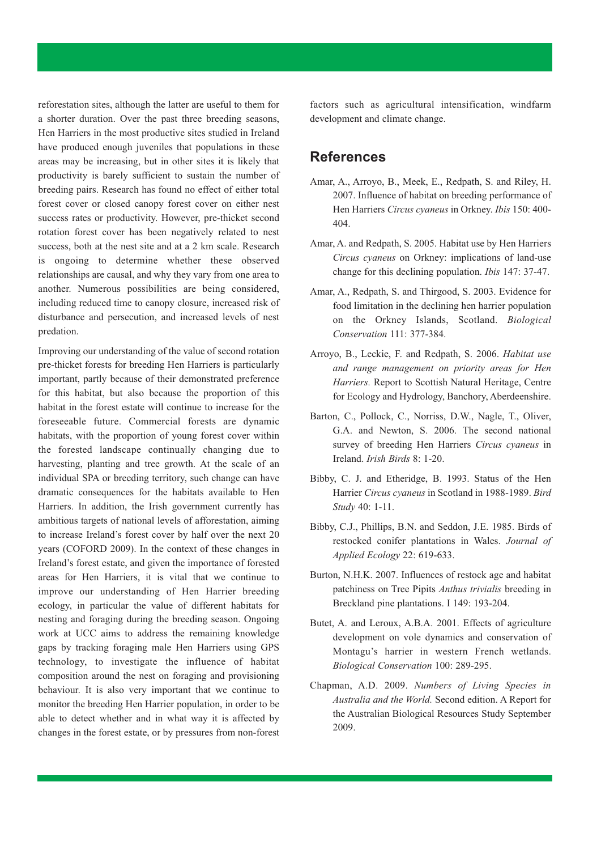reforestation sites, although the latter are useful to them for a shorter duration. Over the past three breeding seasons, Hen Harriers in the most productive sites studied in Ireland have produced enough juveniles that populations in these areas may be increasing, but in other sites it is likely that productivity is barely sufficient to sustain the number of breeding pairs. Research has found no effect of either total forest cover or closed canopy forest cover on either nest success rates or productivity. However, pre-thicket second rotation forest cover has been negatively related to nest success, both at the nest site and at a 2 km scale. Research is ongoing to determine whether these observed relationships are causal, and why they vary from one area to another. Numerous possibilities are being considered, including reduced time to canopy closure, increased risk of disturbance and persecution, and increased levels of nest predation.

Improving our understanding of the value of second rotation pre-thicket forests for breeding Hen Harriers is particularly important, partly because of their demonstrated preference for this habitat, but also because the proportion of this habitat in the forest estate will continue to increase for the foreseeable future. Commercial forests are dynamic habitats, with the proportion of young forest cover within the forested landscape continually changing due to harvesting, planting and tree growth. At the scale of an individual SPA or breeding territory, such change can have dramatic consequences for the habitats available to Hen Harriers. In addition, the Irish government currently has ambitious targets of national levels of afforestation, aiming to increase Ireland's forest cover by half over the next 20 years (COFORD 2009). In the context of these changes in Ireland's forest estate, and given the importance of forested areas for Hen Harriers, it is vital that we continue to improve our understanding of Hen Harrier breeding ecology, in particular the value of different habitats for nesting and foraging during the breeding season. Ongoing work at UCC aims to address the remaining knowledge gaps by tracking foraging male Hen Harriers using GPS technology, to investigate the influence of habitat composition around the nest on foraging and provisioning behaviour. It is also very important that we continue to monitor the breeding Hen Harrier population, in order to be able to detect whether and in what way it is affected by changes in the forest estate, or by pressures from non-forest

factors such as agricultural intensification, windfarm development and climate change.

#### **References**

- Amar, A., Arroyo, B., Meek, E., Redpath, S. and Riley, H. 2007. Influence of habitat on breeding performance of Hen Harriers *Circus cyaneus* in Orkney. *Ibis* 150: 400- 404.
- Amar, A. and Redpath, S. 2005. Habitat use by Hen Harriers *Circus cyaneus* on Orkney: implications of land-use change for this declining population. *Ibis* 147: 37-47.
- Amar, A., Redpath, S. and Thirgood, S. 2003. Evidence for food limitation in the declining hen harrier population on the Orkney Islands, Scotland. *Biological Conservation* 111: 377-384.
- Arroyo, B., Leckie, F. and Redpath, S. 2006. *Habitat use and range management on priority areas for Hen Harriers.* Report to Scottish Natural Heritage, Centre for Ecology and Hydrology, Banchory, Aberdeenshire.
- Barton, C., Pollock, C., Norriss, D.W., Nagle, T., Oliver, G.A. and Newton, S. 2006. The second national survey of breeding Hen Harriers *Circus cyaneus* in Ireland. *Irish Birds* 8: 1-20.
- Bibby, C. J. and Etheridge, B. 1993. Status of the Hen Harrier *Circus cyaneus* in Scotland in 1988-1989. *Bird Study* 40: 1-11.
- Bibby, C.J., Phillips, B.N. and Seddon, J.E. 1985. Birds of restocked conifer plantations in Wales. *Journal of Applied Ecology* 22: 619-633.
- Burton, N.H.K. 2007. Influences of restock age and habitat patchiness on Tree Pipits *Anthus trivialis* breeding in Breckland pine plantations. I 149: 193-204.
- Butet, A. and Leroux, A.B.A. 2001. Effects of agriculture development on vole dynamics and conservation of Montagu's harrier in western French wetlands. *Biological Conservation* 100: 289-295.
- Chapman, A.D. 2009. *Numbers of Living Species in Australia and the World.* Second edition. A Report for the Australian Biological Resources Study September 2009.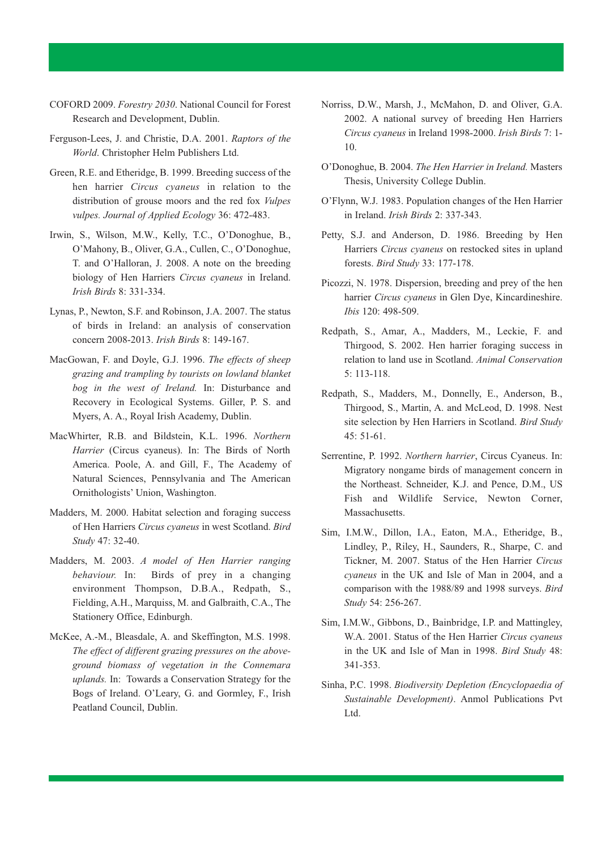- COFORD 2009. *Forestry 2030*. National Council for Forest Research and Development, Dublin.
- Ferguson-Lees, J. and Christie, D.A. 2001. *Raptors of the World*. Christopher Helm Publishers Ltd.
- Green, R.E. and Etheridge, B. 1999. Breeding success of the hen harrier *Circus cyaneus* in relation to the distribution of grouse moors and the red fox *Vulpes vulpes. Journal of Applied Ecology* 36: 472-483.
- Irwin, S., Wilson, M.W., Kelly, T.C., O'Donoghue, B., O'Mahony, B., Oliver, G.A., Cullen, C., O'Donoghue, T. and O'Halloran, J. 2008. A note on the breeding biology of Hen Harriers *Circus cyaneus* in Ireland. *Irish Birds* 8: 331-334.
- Lynas, P., Newton, S.F. and Robinson, J.A. 2007. The status of birds in Ireland: an analysis of conservation concern 2008-2013. *Irish Birds* 8: 149-167.
- MacGowan, F. and Doyle, G.J. 1996. *The effects of sheep grazing and trampling by tourists on lowland blanket bog in the west of Ireland.* In: Disturbance and Recovery in Ecological Systems. Giller, P. S. and Myers, A. A., Royal Irish Academy, Dublin.
- MacWhirter, R.B. and Bildstein, K.L. 1996. *Northern Harrier* (Circus cyaneus). In: The Birds of North America. Poole, A. and Gill, F., The Academy of Natural Sciences, Pennsylvania and The American Ornithologists' Union, Washington.
- Madders, M. 2000. Habitat selection and foraging success of Hen Harriers *Circus cyaneus* in west Scotland. *Bird Study* 47: 32-40.
- Madders, M. 2003. *A model of Hen Harrier ranging behaviour.* In: Birds of prey in a changing environment Thompson, D.B.A., Redpath, S., Fielding, A.H., Marquiss, M. and Galbraith, C.A., The Stationery Office, Edinburgh.
- McKee, A.-M., Bleasdale, A. and Skeffington, M.S. 1998. *The effect of different grazing pressures on the aboveground biomass of vegetation in the Connemara uplands.* In: Towards a Conservation Strategy for the Bogs of Ireland. O'Leary, G. and Gormley, F., Irish Peatland Council, Dublin.
- Norriss, D.W., Marsh, J., McMahon, D. and Oliver, G.A. 2002. A national survey of breeding Hen Harriers *Circus cyaneus* in Ireland 1998-2000. *Irish Birds* 7: 1- 10.
- O'Donoghue, B. 2004. *The Hen Harrier in Ireland.* Masters Thesis, University College Dublin.
- O'Flynn, W.J. 1983. Population changes of the Hen Harrier in Ireland. *Irish Birds* 2: 337-343.
- Petty, S.J. and Anderson, D. 1986. Breeding by Hen Harriers *Circus cyaneus* on restocked sites in upland forests. *Bird Study* 33: 177-178.
- Picozzi, N. 1978. Dispersion, breeding and prey of the hen harrier *Circus cyaneus* in Glen Dye, Kincardineshire. *Ibis* 120: 498-509.
- Redpath, S., Amar, A., Madders, M., Leckie, F. and Thirgood, S. 2002. Hen harrier foraging success in relation to land use in Scotland. *Animal Conservation* 5: 113-118.
- Redpath, S., Madders, M., Donnelly, E., Anderson, B., Thirgood, S., Martin, A. and McLeod, D. 1998. Nest site selection by Hen Harriers in Scotland. *Bird Study* 45: 51-61.
- Serrentine, P. 1992. *Northern harrier*, Circus Cyaneus. In: Migratory nongame birds of management concern in the Northeast. Schneider, K.J. and Pence, D.M., US Fish and Wildlife Service, Newton Corner, Massachusetts.
- Sim, I.M.W., Dillon, I.A., Eaton, M.A., Etheridge, B., Lindley, P., Riley, H., Saunders, R., Sharpe, C. and Tickner, M. 2007. Status of the Hen Harrier *Circus cyaneus* in the UK and Isle of Man in 2004, and a comparison with the 1988/89 and 1998 surveys. *Bird Study* 54: 256-267.
- Sim, I.M.W., Gibbons, D., Bainbridge, I.P. and Mattingley, W.A. 2001. Status of the Hen Harrier *Circus cyaneus* in the UK and Isle of Man in 1998. *Bird Study* 48: 341-353.
- Sinha, P.C. 1998. *Biodiversity Depletion (Encyclopaedia of Sustainable Development)*. Anmol Publications Pvt Ltd.